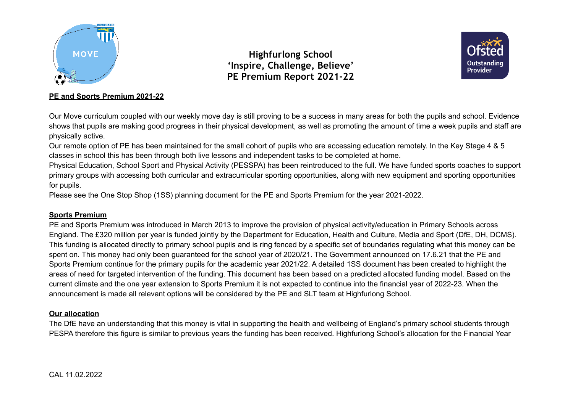



## **PE and Sports Premium 2021-22**

Our Move curriculum coupled with our weekly move day is still proving to be a success in many areas for both the pupils and school. Evidence shows that pupils are making good progress in their physical development, as well as promoting the amount of time a week pupils and staff are physically active.

Our remote option of PE has been maintained for the small cohort of pupils who are accessing education remotely. In the Key Stage 4 & 5 classes in school this has been through both live lessons and independent tasks to be completed at home.

Physical Education, School Sport and Physical Activity (PESSPA) has been reintroduced to the full. We have funded sports coaches to support primary groups with accessing both curricular and extracurricular sporting opportunities, along with new equipment and sporting opportunities for pupils.

Please see the One Stop Shop (1SS) planning document for the PE and Sports Premium for the year 2021-2022.

### **Sports Premium**

PE and Sports Premium was introduced in March 2013 to improve the provision of physical activity/education in Primary Schools across England. The £320 million per year is funded jointly by the Department for Education, Health and Culture, Media and Sport (DfE, DH, DCMS). This funding is allocated directly to primary school pupils and is ring fenced by a specific set of boundaries regulating what this money can be spent on. This money had only been guaranteed for the school year of 2020/21. The Government announced on 17.6.21 that the PE and Sports Premium continue for the primary pupils for the academic year 2021/22. A detailed 1SS document has been created to highlight the areas of need for targeted intervention of the funding. This document has been based on a predicted allocated funding model. Based on the current climate and the one year extension to Sports Premium it is not expected to continue into the financial year of 2022-23. When the announcement is made all relevant options will be considered by the PE and SLT team at Highfurlong School.

## **Our allocation**

The DfE have an understanding that this money is vital in supporting the health and wellbeing of England's primary school students through PESPA therefore this figure is similar to previous years the funding has been received. Highfurlong School's allocation for the Financial Year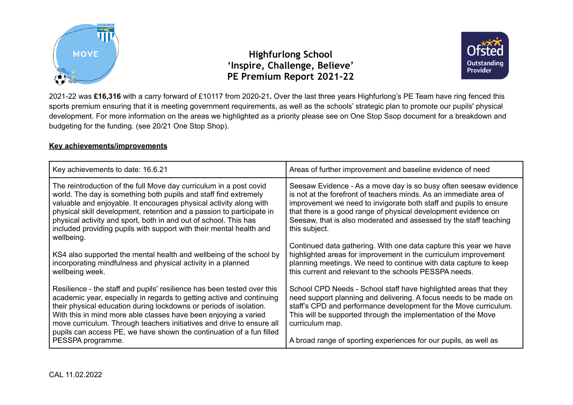



2021-22 was **£16,316** with a carry forward of £10117 from 2020-21**.** Over the last three years Highfurlong's PE Team have ring fenced this sports premium ensuring that it is meeting government requirements, as well as the schools' strategic plan to promote our pupils' physical development. For more information on the areas we highlighted as a priority please see on One Stop Ssop document for a breakdown and budgeting for the funding. (see 20/21 One Stop Shop).

### **Key achievements/improvements**

| Key achievements to date: 16.6.21                                                                                                                                                                                                                                                                                                                                                                                                                               | Areas of further improvement and baseline evidence of need                                                                                                                                                                                                                                                                                                          |
|-----------------------------------------------------------------------------------------------------------------------------------------------------------------------------------------------------------------------------------------------------------------------------------------------------------------------------------------------------------------------------------------------------------------------------------------------------------------|---------------------------------------------------------------------------------------------------------------------------------------------------------------------------------------------------------------------------------------------------------------------------------------------------------------------------------------------------------------------|
| The reintroduction of the full Move day curriculum in a post covid<br>world. The day is something both pupils and staff find extremely<br>valuable and enjoyable. It encourages physical activity along with<br>physical skill development, retention and a passion to participate in<br>physical activity and sport, both in and out of school. This has<br>included providing pupils with support with their mental health and<br>wellbeing.                  | Seesaw Evidence - As a move day is so busy often seesaw evidence<br>is not at the forefront of teachers minds. As an immediate area of<br>improvement we need to invigorate both staff and pupils to ensure<br>that there is a good range of physical development evidence on<br>Seesaw, that is also moderated and assessed by the staff teaching<br>this subject. |
| KS4 also supported the mental health and wellbeing of the school by<br>incorporating mindfulness and physical activity in a planned<br>wellbeing week.                                                                                                                                                                                                                                                                                                          | Continued data gathering. With one data capture this year we have<br>highlighted areas for improvement in the curriculum improvement<br>planning meetings. We need to continue with data capture to keep<br>this current and relevant to the schools PESSPA needs.                                                                                                  |
| Resilience - the staff and pupils' resilience has been tested over this<br>academic year, especially in regards to getting active and continuing<br>their physical education during lockdowns or periods of isolation.<br>With this in mind more able classes have been enjoying a varied<br>move curriculum. Through teachers initiatives and drive to ensure all<br>pupils can access PE, we have shown the continuation of a fun filled<br>PESSPA programme. | School CPD Needs - School staff have highlighted areas that they<br>need support planning and delivering. A focus needs to be made on<br>staff's CPD and performance development for the Move curriculum.<br>This will be supported through the implementation of the Move<br>curriculum map.<br>A broad range of sporting experiences for our pupils, as well as   |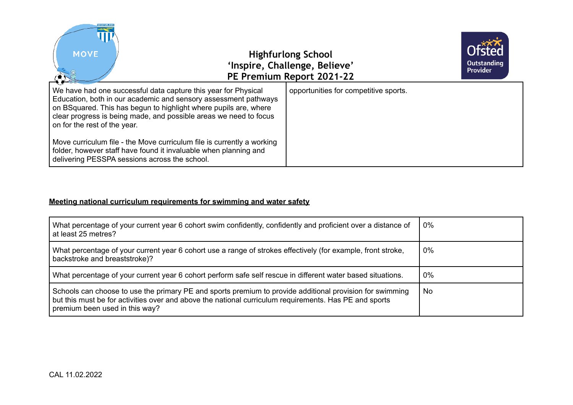

### **Meeting national curriculum requirements for swimming and water safety**

| What percentage of your current year 6 cohort swim confidently, confidently and proficient over a distance of<br>at least 25 metres?                                                                                                                 | 0%    |
|------------------------------------------------------------------------------------------------------------------------------------------------------------------------------------------------------------------------------------------------------|-------|
| What percentage of your current year 6 cohort use a range of strokes effectively (for example, front stroke,<br>backstroke and breaststroke)?                                                                                                        | $0\%$ |
| What percentage of your current year 6 cohort perform safe self rescue in different water based situations.                                                                                                                                          | 0%    |
| Schools can choose to use the primary PE and sports premium to provide additional provision for swimming<br>but this must be for activities over and above the national curriculum requirements. Has PE and sports<br>premium been used in this way? | No.   |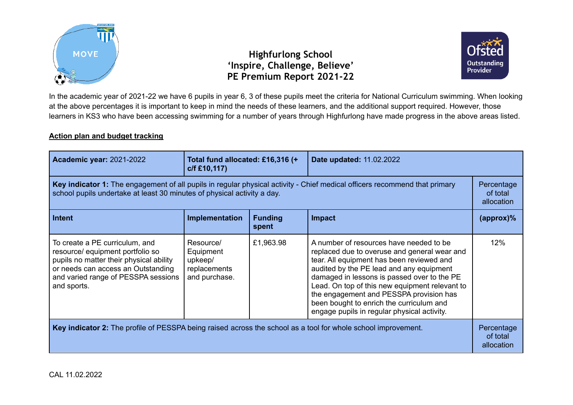



In the academic year of 2021-22 we have 6 pupils in year 6, 3 of these pupils meet the criteria for National Curriculum swimming. When looking at the above percentages it is important to keep in mind the needs of these learners, and the additional support required. However, those learners in KS3 who have been accessing swimming for a number of years through Highfurlong have made progress in the above areas listed.

## **Action plan and budget tracking**

| <b>Academic year: 2021-2022</b>                                                                                                                                                                           | Total fund allocated: £16,316 (+<br>c/f £10,117)                   |                         | Date updated: 11.02.2022                                                                                                                                                                                                                                                                                                                                                                                                |                        |
|-----------------------------------------------------------------------------------------------------------------------------------------------------------------------------------------------------------|--------------------------------------------------------------------|-------------------------|-------------------------------------------------------------------------------------------------------------------------------------------------------------------------------------------------------------------------------------------------------------------------------------------------------------------------------------------------------------------------------------------------------------------------|------------------------|
| Key indicator 1: The engagement of all pupils in regular physical activity - Chief medical officers recommend that primary<br>school pupils undertake at least 30 minutes of physical activity a day.     |                                                                    |                         | Percentage<br>of total<br>allocation                                                                                                                                                                                                                                                                                                                                                                                    |                        |
| Intent                                                                                                                                                                                                    | Implementation                                                     | <b>Funding</b><br>spent | <b>Impact</b>                                                                                                                                                                                                                                                                                                                                                                                                           | $\langle$ approx $)\%$ |
| To create a PE curriculum, and<br>resource/ equipment portfolio so<br>pupils no matter their physical ability<br>or needs can access an Outstanding<br>and varied range of PESSPA sessions<br>and sports. | Resource/<br>Equipment<br>upkeep/<br>replacements<br>and purchase. | £1,963.98               | A number of resources have needed to be<br>replaced due to overuse and general wear and<br>tear. All equipment has been reviewed and<br>audited by the PE lead and any equipment<br>damaged in lessons is passed over to the PE<br>Lead. On top of this new equipment relevant to<br>the engagement and PESSPA provision has<br>been bought to enrich the curriculum and<br>engage pupils in regular physical activity. | 12%                    |
| Key indicator 2: The profile of PESSPA being raised across the school as a tool for whole school improvement.                                                                                             |                                                                    |                         | Percentage<br>of total<br>allocation                                                                                                                                                                                                                                                                                                                                                                                    |                        |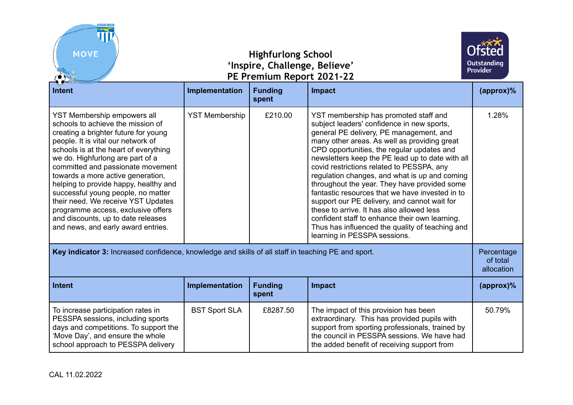| <b>HIGHFURLON</b><br><b>MOVE</b><br><b>Highfurlong School</b><br>'Inspire, Challenge, Believe'<br>PE Premium Report 2021-22                                                                                                                                                                                                                                                                                                                                                                                                                  |                       |                         | Outstanding<br><b>Provider</b>                                                                                                                                                                                                                                                                                                                                                                                                                                                                                                                                                                                                                                                                                      |                     |
|----------------------------------------------------------------------------------------------------------------------------------------------------------------------------------------------------------------------------------------------------------------------------------------------------------------------------------------------------------------------------------------------------------------------------------------------------------------------------------------------------------------------------------------------|-----------------------|-------------------------|---------------------------------------------------------------------------------------------------------------------------------------------------------------------------------------------------------------------------------------------------------------------------------------------------------------------------------------------------------------------------------------------------------------------------------------------------------------------------------------------------------------------------------------------------------------------------------------------------------------------------------------------------------------------------------------------------------------------|---------------------|
| <b>Intent</b>                                                                                                                                                                                                                                                                                                                                                                                                                                                                                                                                | Implementation        | <b>Funding</b><br>spent | <b>Impact</b>                                                                                                                                                                                                                                                                                                                                                                                                                                                                                                                                                                                                                                                                                                       | $\frac{1}{2}$       |
| YST Membership empowers all<br>schools to achieve the mission of<br>creating a brighter future for young<br>people. It is vital our network of<br>schools is at the heart of everything<br>we do. Highfurlong are part of a<br>committed and passionate movement<br>towards a more active generation,<br>helping to provide happy, healthy and<br>successful young people, no matter<br>their need. We receive YST Updates<br>programme access, exclusive offers<br>and discounts, up to date releases<br>and news, and early award entries. | <b>YST Membership</b> | £210.00                 | YST membership has promoted staff and<br>subject leaders' confidence in new sports,<br>general PE delivery, PE management, and<br>many other areas. As well as providing great<br>CPD opportunities, the regular updates and<br>newsletters keep the PE lead up to date with all<br>covid restrictions related to PESSPA, any<br>regulation changes, and what is up and coming<br>throughout the year. They have provided some<br>fantastic resources that we have invested in to<br>support our PE delivery, and cannot wait for<br>these to arrive. It has also allowed less<br>confident staff to enhance their own learning.<br>Thus has influenced the quality of teaching and<br>learning in PESSPA sessions. | 1.28%               |
| Key indicator 3: Increased confidence, knowledge and skills of all staff in teaching PE and sport.                                                                                                                                                                                                                                                                                                                                                                                                                                           |                       |                         | Percentage<br>of total<br>allocation                                                                                                                                                                                                                                                                                                                                                                                                                                                                                                                                                                                                                                                                                |                     |
| <b>Intent</b>                                                                                                                                                                                                                                                                                                                                                                                                                                                                                                                                | Implementation        | <b>Funding</b><br>spent | <b>Impact</b>                                                                                                                                                                                                                                                                                                                                                                                                                                                                                                                                                                                                                                                                                                       | $(\text{approx})\%$ |
| To increase participation rates in<br>PESSPA sessions, including sports<br>days and competitions. To support the<br>'Move Day', and ensure the whole<br>school approach to PESSPA delivery                                                                                                                                                                                                                                                                                                                                                   | <b>BST Sport SLA</b>  | £8287.50                | The impact of this provision has been<br>extraordinary. This has provided pupils with<br>support from sporting professionals, trained by<br>the council in PESSPA sessions. We have had<br>the added benefit of receiving support from                                                                                                                                                                                                                                                                                                                                                                                                                                                                              | 50.79%              |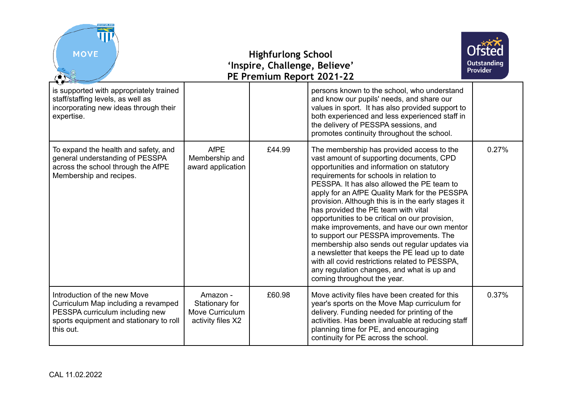| <b>MOVE</b>                                                                                                                                                    | <b>Highfurlong School</b><br>'Inspire, Challenge, Believe'<br>PE Premium Report 2021-22 |        |                                                                                                                                                                                                                                                                                                                                                                                                                                                                                                                                                                                                                                                                                                                                                         | Outstanding<br><b>Provider</b> |
|----------------------------------------------------------------------------------------------------------------------------------------------------------------|-----------------------------------------------------------------------------------------|--------|---------------------------------------------------------------------------------------------------------------------------------------------------------------------------------------------------------------------------------------------------------------------------------------------------------------------------------------------------------------------------------------------------------------------------------------------------------------------------------------------------------------------------------------------------------------------------------------------------------------------------------------------------------------------------------------------------------------------------------------------------------|--------------------------------|
| is supported with appropriately trained<br>staff/staffing levels, as well as<br>incorporating new ideas through their<br>expertise.                            |                                                                                         |        | persons known to the school, who understand<br>and know our pupils' needs, and share our<br>values in sport. It has also provided support to<br>both experienced and less experienced staff in<br>the delivery of PESSPA sessions, and<br>promotes continuity throughout the school.                                                                                                                                                                                                                                                                                                                                                                                                                                                                    |                                |
| To expand the health and safety, and<br>general understanding of PESSPA<br>across the school through the AfPE<br>Membership and recipes.                       | <b>AfPE</b><br>Membership and<br>award application                                      | £44.99 | The membership has provided access to the<br>vast amount of supporting documents, CPD<br>opportunities and information on statutory<br>requirements for schools in relation to<br>PESSPA. It has also allowed the PE team to<br>apply for an AfPE Quality Mark for the PESSPA<br>provision. Although this is in the early stages it<br>has provided the PE team with vital<br>opportunities to be critical on our provision,<br>make improvements, and have our own mentor<br>to support our PESSPA improvements. The<br>membership also sends out regular updates via<br>a newsletter that keeps the PE lead up to date<br>with all covid restrictions related to PESSPA.<br>any regulation changes, and what is up and<br>coming throughout the year. | 0.27%                          |
| Introduction of the new Move<br>Curriculum Map including a revamped<br>PESSPA curriculum including new<br>sports equipment and stationary to roll<br>this out. | Amazon -<br>Stationary for<br>Move Curriculum<br>activity files X2                      | £60.98 | Move activity files have been created for this<br>year's sports on the Move Map curriculum for<br>delivery. Funding needed for printing of the<br>activities. Has been invaluable at reducing staff<br>planning time for PE, and encouraging<br>continuity for PE across the school.                                                                                                                                                                                                                                                                                                                                                                                                                                                                    | 0.37%                          |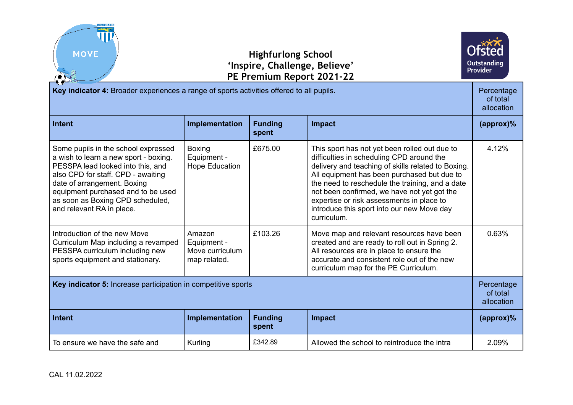



| Key indicator 4: Broader experiences a range of sports activities offered to all pupils.                                                                                                                                                                                                      |                                                          |                         | Percentage<br>of total<br>allocation                                                                                                                                                                                                                                                                                                                                                                        |                     |
|-----------------------------------------------------------------------------------------------------------------------------------------------------------------------------------------------------------------------------------------------------------------------------------------------|----------------------------------------------------------|-------------------------|-------------------------------------------------------------------------------------------------------------------------------------------------------------------------------------------------------------------------------------------------------------------------------------------------------------------------------------------------------------------------------------------------------------|---------------------|
| <b>Intent</b>                                                                                                                                                                                                                                                                                 | Implementation                                           | <b>Funding</b><br>spent | Impact                                                                                                                                                                                                                                                                                                                                                                                                      | $(\text{approx})\%$ |
| Some pupils in the school expressed<br>a wish to learn a new sport - boxing.<br>PESSPA lead looked into this, and<br>also CPD for staff. CPD - awaiting<br>date of arrangement. Boxing<br>equipment purchased and to be used<br>as soon as Boxing CPD scheduled,<br>and relevant RA in place. | <b>Boxing</b><br>Equipment -<br><b>Hope Education</b>    | £675.00                 | This sport has not yet been rolled out due to<br>difficulties in scheduling CPD around the<br>delivery and teaching of skills related to Boxing.<br>All equipment has been purchased but due to<br>the need to reschedule the training, and a date<br>not been confirmed, we have not yet got the<br>expertise or risk assessments in place to<br>introduce this sport into our new Move day<br>curriculum. | 4.12%               |
| Introduction of the new Move<br>Curriculum Map including a revamped<br>PESSPA curriculum including new<br>sports equipment and stationary.                                                                                                                                                    | Amazon<br>Equipment -<br>Move curriculum<br>map related. | £103.26                 | Move map and relevant resources have been<br>created and are ready to roll out in Spring 2.<br>All resources are in place to ensure the<br>accurate and consistent role out of the new<br>curriculum map for the PE Curriculum.                                                                                                                                                                             | 0.63%               |
| Key indicator 5: Increase participation in competitive sports                                                                                                                                                                                                                                 |                                                          |                         | Percentage<br>of total<br>allocation                                                                                                                                                                                                                                                                                                                                                                        |                     |
| <b>Intent</b>                                                                                                                                                                                                                                                                                 | Implementation                                           | <b>Funding</b><br>spent | <b>Impact</b>                                                                                                                                                                                                                                                                                                                                                                                               | $(\text{approx})\%$ |
| To ensure we have the safe and                                                                                                                                                                                                                                                                | Kurling                                                  | £342.89                 | Allowed the school to reintroduce the intra                                                                                                                                                                                                                                                                                                                                                                 | 2.09%               |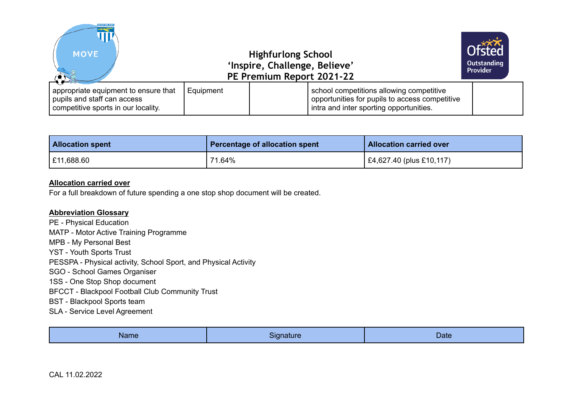| <b>MIGHFURLON</b><br><b>MOVE</b>                                                                           |           | <b>Highfurlong School</b><br>'Inspire, Challenge, Believe'<br>PE Premium Report 2021-22                                               | <b>Ofsted</b><br>Outstanding<br><b>Provider</b> |
|------------------------------------------------------------------------------------------------------------|-----------|---------------------------------------------------------------------------------------------------------------------------------------|-------------------------------------------------|
| appropriate equipment to ensure that<br>pupils and staff can access<br>competitive sports in our locality. | Equipment | school competitions allowing competitive<br>opportunities for pupils to access competitive<br>intra and inter sporting opportunities. |                                                 |

| <b>Allocation spent</b> | Percentage of allocation spent | <b>Allocation carried over</b>   |
|-------------------------|--------------------------------|----------------------------------|
| E11,688.60              | 71.64%                         | $\vert$ £4,627.40 (plus £10,117) |

#### **Allocation carried over**

For a full breakdown of future spending a one stop shop document will be created.

#### **Abbreviation Glossary**

PE - Physical Education MATP - Motor Active Training Programme MPB - My Personal Best YST - Youth Sports Trust PESSPA - Physical activity, School Sport, and Physical Activity SGO - School Games Organiser 1SS - One Stop Shop document BFCCT - Blackpool Football Club Community Trust BST - Blackpool Sports team SLA - Service Level Agreement

|--|